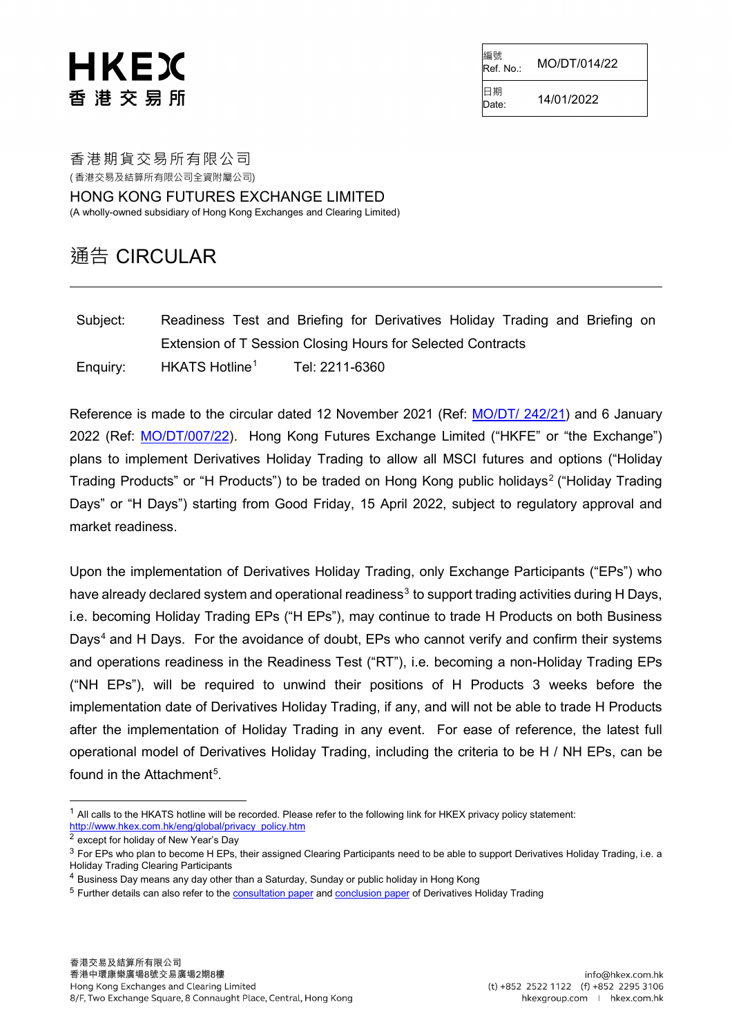編號<br>Ref. No.: Ref. No.: MO/DT/014/22

Date: 14/01/2022

日期<br>Date:

香港期貨交易所有限公司 ( 香港交易及結算所有限公司全資附屬公司)

HONG KONG FUTURES EXCHANGE LIMITED (A wholly-owned subsidiary of Hong Kong Exchanges and Clearing Limited)

### 通告 CIRCULAR

Subject: Readiness Test and Briefing for Derivatives Holiday Trading and Briefing on Extension of T Session Closing Hours for Selected Contracts Enquiry: HKATS Hotline<sup>[1](#page-0-0)</sup> Tel: 2211-6360

Reference is made to the circular dated 12 November 2021 (Ref: [MO/DT/ 242/21\)](https://www.hkex.com.hk/-/media/HKEX-Market/Services/Circulars-and-Notices/Participant-and-Members-Circulars/HKFE/2021/MO_DT_242_21_e.pdf) and 6 January 2022 (Ref: [MO/DT/007/22\)](https://www.hkex.com.hk/-/media/HKEX-Market/Services/Circulars-and-Notices/Participant-and-Members-Circulars/HKFE/2022/MO_DT_007_22.pdf). Hong Kong Futures Exchange Limited ("HKFE" or "the Exchange") plans to implement Derivatives Holiday Trading to allow all MSCI futures and options ("Holiday Trading Products" or "H Products") to be traded on Hong Kong public holidays<sup>[2](#page-0-1)</sup> ("Holiday Trading Days" or "H Days") starting from Good Friday, 15 April 2022, subject to regulatory approval and market readiness.

Upon the implementation of Derivatives Holiday Trading, only Exchange Participants ("EPs") who have already declared system and operational readiness<sup>[3](#page-0-2)</sup> to support trading activities during H Days, i.e. becoming Holiday Trading EPs ("H EPs"), may continue to trade H Products on both Business Days<sup>[4](#page-0-3)</sup> and H Days. For the avoidance of doubt, EPs who cannot verify and confirm their systems and operations readiness in the Readiness Test ("RT"), i.e. becoming a non-Holiday Trading EPs ("NH EPs"), will be required to unwind their positions of H Products 3 weeks before the implementation date of Derivatives Holiday Trading, if any, and will not be able to trade H Products after the implementation of Holiday Trading in any event. For ease of reference, the latest full operational model of Derivatives Holiday Trading, including the criteria to be H / NH EPs, can be found in the Attachment $^5$  $^5$ .

<span id="page-0-0"></span> $1$  All calls to the HKATS hotline will be recorded. Please refer to the following link for HKEX privacy policy statement: [http://www.hkex.com.hk/eng/global/privacy\\_policy.htm](http://www.hkex.com.hk/eng/global/privacy_policy.htm)

<span id="page-0-1"></span><sup>2</sup> except for holiday of New Year's Day

<span id="page-0-2"></span><sup>&</sup>lt;sup>3</sup> For EPs who plan to become H EPs, their assigned Clearing Participants need to be able to support Derivatives Holiday Trading, i.e. a Holiday Trading Clearing Participants

<span id="page-0-3"></span><sup>4</sup> Business Day means any day other than a Saturday, Sunday or public holiday in Hong Kong

<span id="page-0-4"></span><sup>&</sup>lt;sup>5</sup> Further details can also refer to the **consultation paper an[d conclusion paper](https://www.hkex.com.hk/-/media/HKEX-Market/News/Market-Consultations/2016-Present/November-2021-Derivatives-Holiday-Trading/Conclusions-(Jan-2022)/cp202201cc.pdf) of** Derivatives Holiday Trading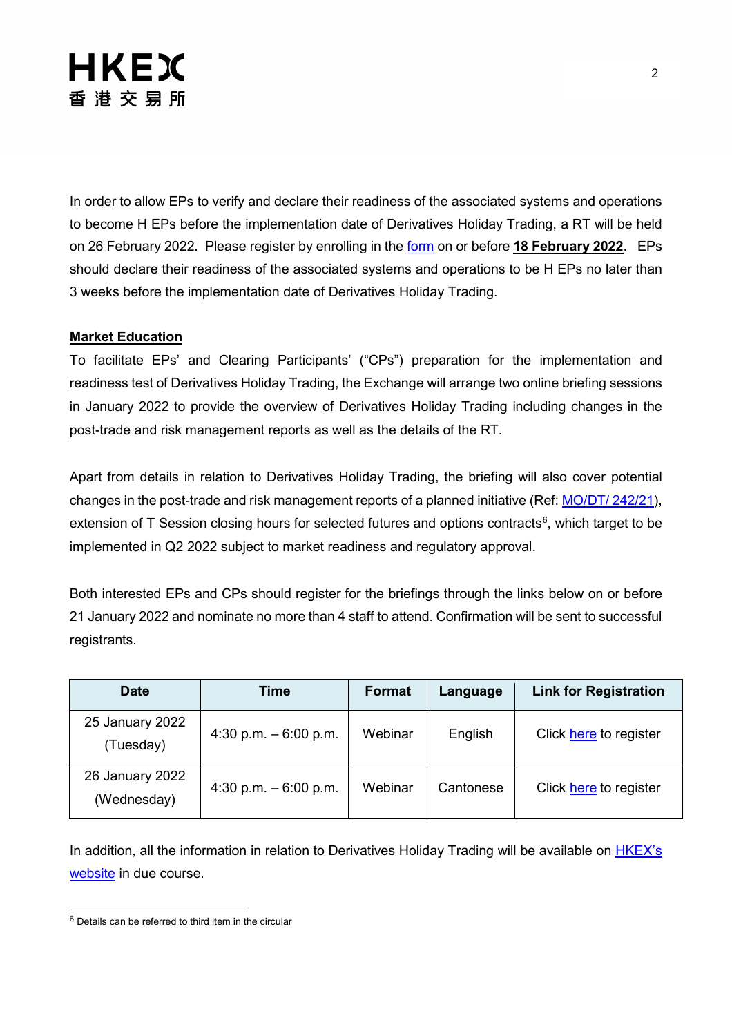In order to allow EPs to verify and declare their readiness of the associated systems and operations to become H EPs before the implementation date of Derivatives Holiday Trading, a RT will be held on 26 February 2022. Please register by enrolling in the [form](https://events.hkexgroup.com/en/readiness-test-on-derivatives-holiday-trading-on-26-feb-2022-5a326FDMQwk/overview) on or before **18 February 2022**. EPs should declare their readiness of the associated systems and operations to be H EPs no later than 3 weeks before the implementation date of Derivatives Holiday Trading.

#### **Market Education**

To facilitate EPs' and Clearing Participants' ("CPs") preparation for the implementation and readiness test of Derivatives Holiday Trading, the Exchange will arrange two online briefing sessions in January 2022 to provide the overview of Derivatives Holiday Trading including changes in the post-trade and risk management reports as well as the details of the RT.

Apart from details in relation to Derivatives Holiday Trading, the briefing will also cover potential changes in the post-trade and risk management reports of a planned initiative (Ref: [MO/DT/ 242/21\)](https://www.hkex.com.hk/-/media/HKEX-Market/Services/Circulars-and-Notices/Participant-and-Members-Circulars/HKFE/2021/MO_DT_242_21_e.pdf), extension of T Session closing hours for selected futures and options contracts $^6$  $^6$ , which target to be implemented in Q2 2022 subject to market readiness and regulatory approval.

Both interested EPs and CPs should register for the briefings through the links below on or before 21 January 2022 and nominate no more than 4 staff to attend. Confirmation will be sent to successful registrants.

| <b>Date</b>                    | Time                   | <b>Format</b> | Language  | <b>Link for Registration</b> |
|--------------------------------|------------------------|---------------|-----------|------------------------------|
| 25 January 2022<br>(Tuesday)   | 4:30 p.m. $-6:00$ p.m. | Webinar       | English   | Click here to register       |
| 26 January 2022<br>(Wednesday) | 4:30 p.m. $-6:00$ p.m. | Webinar       | Cantonese | Click here to register       |

In addition, all the information in relation to Derivatives Holiday Trading will be available on **HKEX's** [website](https://www.hkex.com.hk/Services/Trading/Derivatives/Overview/Trading-Mechanism/Derivatives-Holiday-Trading?sc_lang=en) in due course.

<span id="page-1-0"></span> $6$  Details can be referred to third item in the circular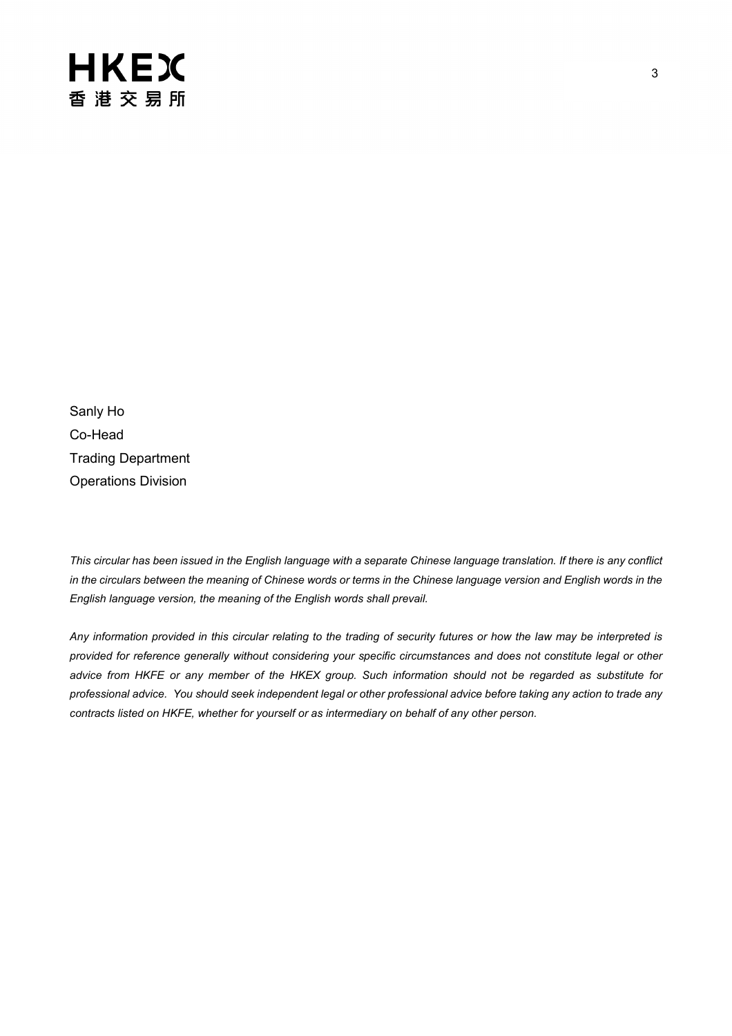Sanly Ho Co-Head Trading Department Operations Division

*This circular has been issued in the English language with a separate Chinese language translation. If there is any conflict in the circulars between the meaning of Chinese words or terms in the Chinese language version and English words in the English language version, the meaning of the English words shall prevail.*

*Any information provided in this circular relating to the trading of security futures or how the law may be interpreted is provided for reference generally without considering your specific circumstances and does not constitute legal or other advice from HKFE or any member of the HKEX group. Such information should not be regarded as substitute for professional advice. You should seek independent legal or other professional advice before taking any action to trade any contracts listed on HKFE, whether for yourself or as intermediary on behalf of any other person.*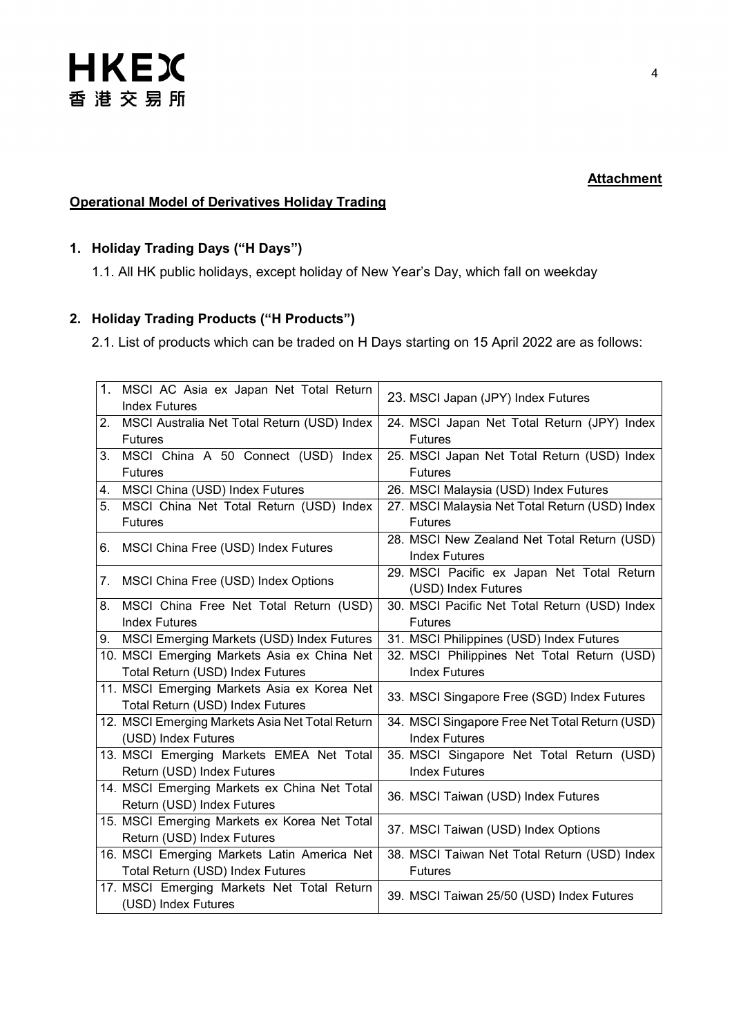

#### **Attachment**

#### **Operational Model of Derivatives Holiday Trading**

#### **1. Holiday Trading Days ("H Days")**

1.1. All HK public holidays, except holiday of New Year's Day, which fall on weekday

### **2. Holiday Trading Products ("H Products")**

2.1. List of products which can be traded on H Days starting on 15 April 2022 are as follows:

|    | 1. MSCI AC Asia ex Japan Net Total Return<br><b>Index Futures</b>               | 23. MSCI Japan (JPY) Index Futures                                  |
|----|---------------------------------------------------------------------------------|---------------------------------------------------------------------|
| 2. | MSCI Australia Net Total Return (USD) Index<br><b>Futures</b>                   | 24. MSCI Japan Net Total Return (JPY) Index<br><b>Futures</b>       |
| 3. | MSCI China A 50 Connect (USD) Index<br><b>Futures</b>                           | 25. MSCI Japan Net Total Return (USD) Index<br><b>Futures</b>       |
| 4. | MSCI China (USD) Index Futures                                                  | 26. MSCI Malaysia (USD) Index Futures                               |
| 5. | MSCI China Net Total Return (USD) Index<br><b>Futures</b>                       | 27. MSCI Malaysia Net Total Return (USD) Index<br><b>Futures</b>    |
|    | 6. MSCI China Free (USD) Index Futures                                          | 28. MSCI New Zealand Net Total Return (USD)<br><b>Index Futures</b> |
| 7. | MSCI China Free (USD) Index Options                                             | 29. MSCI Pacific ex Japan Net Total Return<br>(USD) Index Futures   |
| 8. | MSCI China Free Net Total Return (USD)<br><b>Index Futures</b>                  | 30. MSCI Pacific Net Total Return (USD) Index<br><b>Futures</b>     |
|    | 9. MSCI Emerging Markets (USD) Index Futures                                    | 31. MSCI Philippines (USD) Index Futures                            |
|    | 10. MSCI Emerging Markets Asia ex China Net                                     | 32. MSCI Philippines Net Total Return (USD)                         |
|    | Total Return (USD) Index Futures                                                | <b>Index Futures</b>                                                |
|    | 11. MSCI Emerging Markets Asia ex Korea Net<br>Total Return (USD) Index Futures | 33. MSCI Singapore Free (SGD) Index Futures                         |
|    | 12. MSCI Emerging Markets Asia Net Total Return                                 | 34. MSCI Singapore Free Net Total Return (USD)                      |
|    | (USD) Index Futures                                                             | <b>Index Futures</b>                                                |
|    | 13. MSCI Emerging Markets EMEA Net Total                                        | 35. MSCI Singapore Net Total Return (USD)                           |
|    | Return (USD) Index Futures                                                      | <b>Index Futures</b>                                                |
|    | 14. MSCI Emerging Markets ex China Net Total<br>Return (USD) Index Futures      | 36. MSCI Taiwan (USD) Index Futures                                 |
|    | 15. MSCI Emerging Markets ex Korea Net Total<br>Return (USD) Index Futures      | 37. MSCI Taiwan (USD) Index Options                                 |
|    | 16. MSCI Emerging Markets Latin America Net<br>Total Return (USD) Index Futures | 38. MSCI Taiwan Net Total Return (USD) Index<br><b>Futures</b>      |
|    | 17. MSCI Emerging Markets Net Total Return<br>(USD) Index Futures               | 39. MSCI Taiwan 25/50 (USD) Index Futures                           |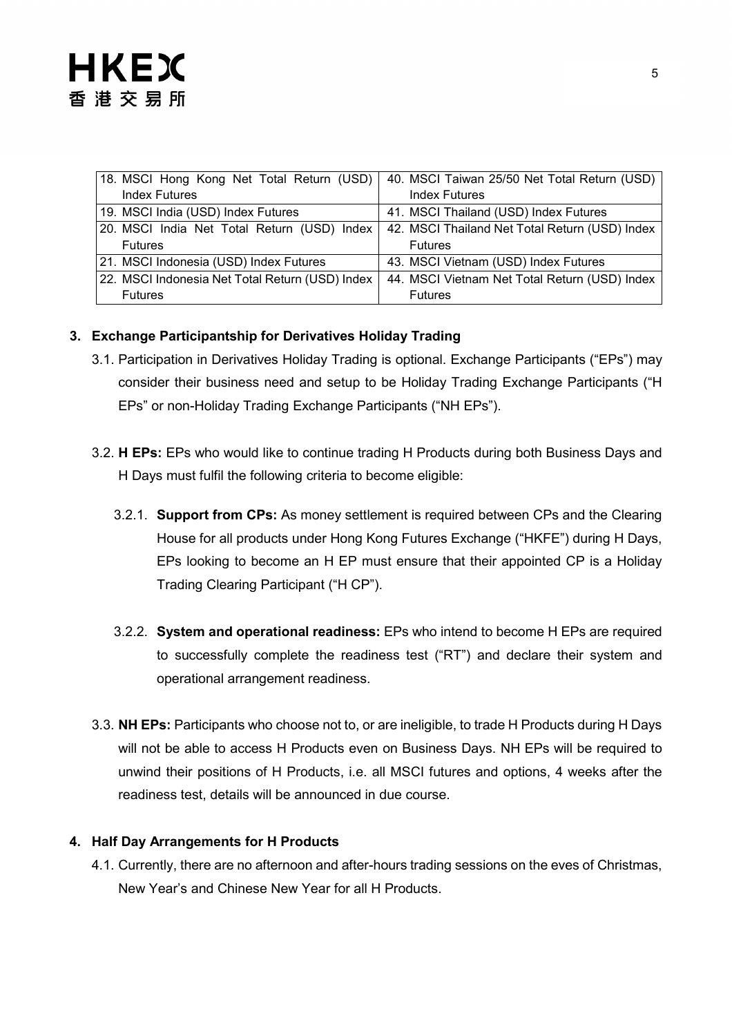| 18. MSCI Hong Kong Net Total Return (USD)       | 40. MSCI Taiwan 25/50 Net Total Return (USD)   |
|-------------------------------------------------|------------------------------------------------|
| <b>Index Futures</b>                            | <b>Index Futures</b>                           |
| 19. MSCI India (USD) Index Futures              | 41. MSCI Thailand (USD) Index Futures          |
| 20. MSCI India Net Total Return (USD) Index     | 42. MSCI Thailand Net Total Return (USD) Index |
| <b>Futures</b>                                  | <b>Futures</b>                                 |
| 21. MSCI Indonesia (USD) Index Futures          | 43. MSCI Vietnam (USD) Index Futures           |
| 22. MSCI Indonesia Net Total Return (USD) Index | 44. MSCI Vietnam Net Total Return (USD) Index  |
| <b>Futures</b>                                  | <b>Futures</b>                                 |

#### **3. Exchange Participantship for Derivatives Holiday Trading**

- 3.1. Participation in Derivatives Holiday Trading is optional. Exchange Participants ("EPs") may consider their business need and setup to be Holiday Trading Exchange Participants ("H EPs" or non-Holiday Trading Exchange Participants ("NH EPs").
- 3.2. **H EPs:** EPs who would like to continue trading H Products during both Business Days and H Days must fulfil the following criteria to become eligible:
	- 3.2.1. **Support from CPs:** As money settlement is required between CPs and the Clearing House for all products under Hong Kong Futures Exchange ("HKFE") during H Days, EPs looking to become an H EP must ensure that their appointed CP is a Holiday Trading Clearing Participant ("H CP").
	- 3.2.2. **System and operational readiness:** EPs who intend to become H EPs are required to successfully complete the readiness test ("RT") and declare their system and operational arrangement readiness.
- 3.3. **NH EPs:** Participants who choose not to, or are ineligible, to trade H Products during H Days will not be able to access H Products even on Business Days. NH EPs will be required to unwind their positions of H Products, i.e. all MSCI futures and options, 4 weeks after the readiness test, details will be announced in due course.

#### **4. Half Day Arrangements for H Products**

4.1. Currently, there are no afternoon and after-hours trading sessions on the eves of Christmas, New Year's and Chinese New Year for all H Products.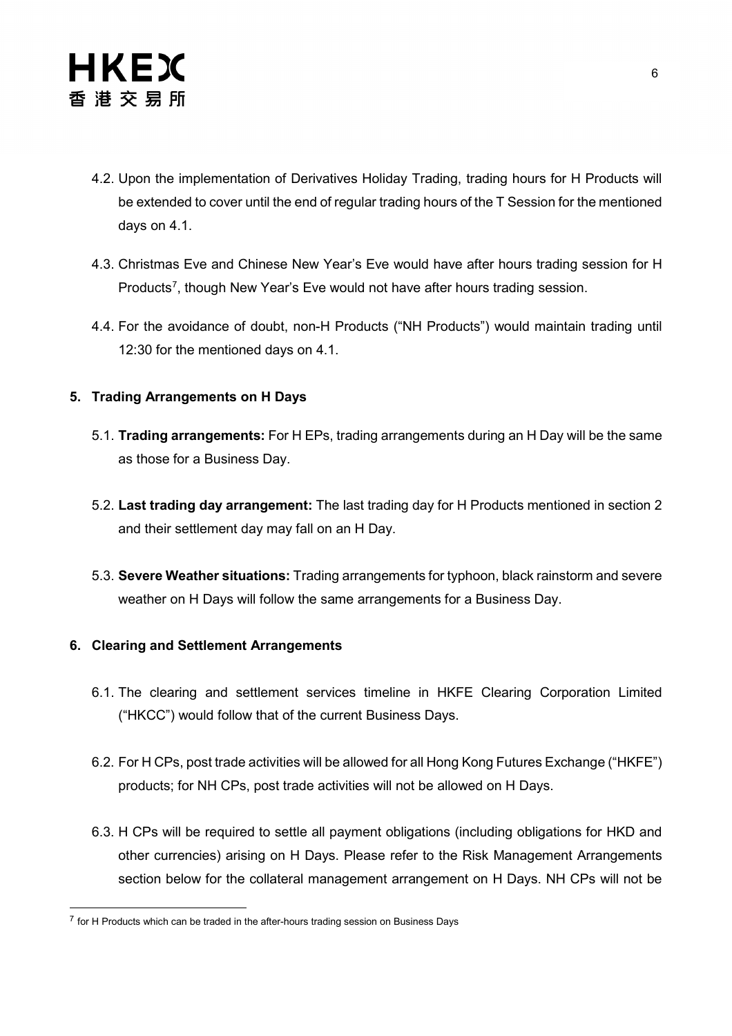

- 4.2. Upon the implementation of Derivatives Holiday Trading, trading hours for H Products will be extended to cover until the end of regular trading hours of the T Session for the mentioned days on 4.1.
- 4.3. Christmas Eve and Chinese New Year's Eve would have after hours trading session for H Products<sup>[7](#page-5-0)</sup>, though New Year's Eve would not have after hours trading session.
- 4.4. For the avoidance of doubt, non-H Products ("NH Products") would maintain trading until 12:30 for the mentioned days on 4.1.

#### **5. Trading Arrangements on H Days**

- 5.1. **Trading arrangements:** For H EPs, trading arrangements during an H Day will be the same as those for a Business Day.
- 5.2. **Last trading day arrangement:** The last trading day for H Products mentioned in section 2 and their settlement day may fall on an H Day.
- 5.3. **Severe Weather situations:** Trading arrangements for typhoon, black rainstorm and severe weather on H Days will follow the same arrangements for a Business Day.

#### **6. Clearing and Settlement Arrangements**

- 6.1. The clearing and settlement services timeline in HKFE Clearing Corporation Limited ("HKCC") would follow that of the current Business Days.
- 6.2. For H CPs, post trade activities will be allowed for all Hong Kong Futures Exchange ("HKFE") products; for NH CPs, post trade activities will not be allowed on H Days.
- 6.3. H CPs will be required to settle all payment obligations (including obligations for HKD and other currencies) arising on H Days. Please refer to the Risk Management Arrangements section below for the collateral management arrangement on H Days. NH CPs will not be

<span id="page-5-0"></span> $7$  for H Products which can be traded in the after-hours trading session on Business Days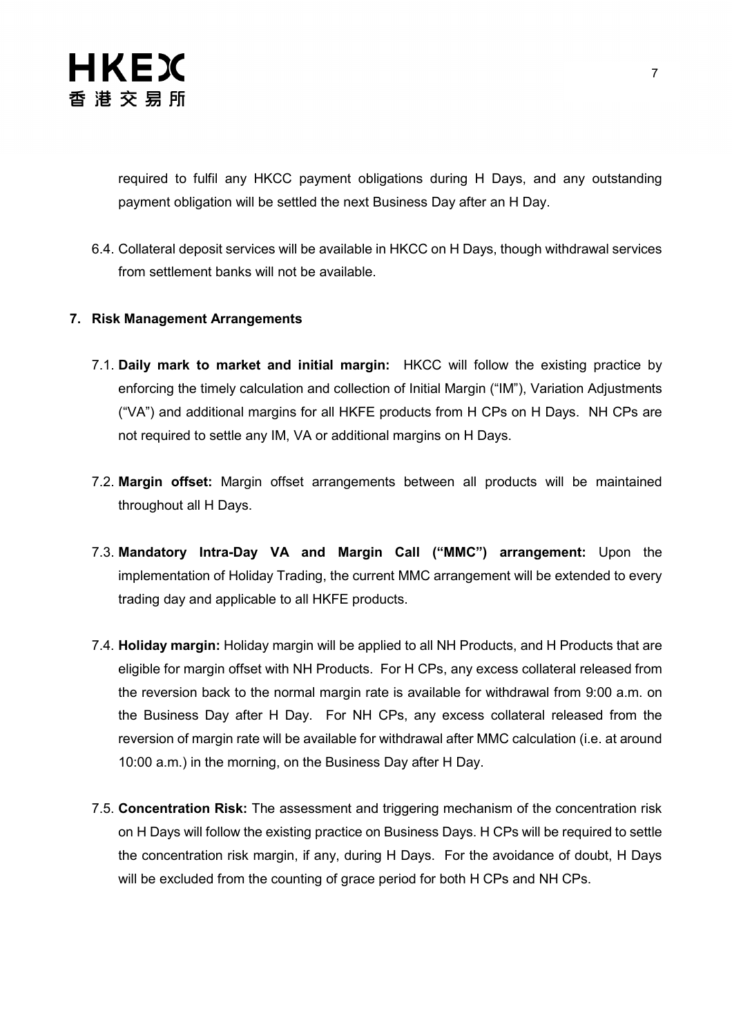

required to fulfil any HKCC payment obligations during H Days, and any outstanding payment obligation will be settled the next Business Day after an H Day.

6.4. Collateral deposit services will be available in HKCC on H Days, though withdrawal services from settlement banks will not be available.

#### **7. Risk Management Arrangements**

- 7.1. **Daily mark to market and initial margin:** HKCC will follow the existing practice by enforcing the timely calculation and collection of Initial Margin ("IM"), Variation Adjustments ("VA") and additional margins for all HKFE products from H CPs on H Days. NH CPs are not required to settle any IM, VA or additional margins on H Days.
- 7.2. **Margin offset:** Margin offset arrangements between all products will be maintained throughout all H Days.
- 7.3. **Mandatory Intra-Day VA and Margin Call ("MMC") arrangement:** Upon the implementation of Holiday Trading, the current MMC arrangement will be extended to every trading day and applicable to all HKFE products.
- 7.4. **Holiday margin:** Holiday margin will be applied to all NH Products, and H Products that are eligible for margin offset with NH Products. For H CPs, any excess collateral released from the reversion back to the normal margin rate is available for withdrawal from 9:00 a.m. on the Business Day after H Day. For NH CPs, any excess collateral released from the reversion of margin rate will be available for withdrawal after MMC calculation (i.e. at around 10:00 a.m.) in the morning, on the Business Day after H Day.
- 7.5. **Concentration Risk:** The assessment and triggering mechanism of the concentration risk on H Days will follow the existing practice on Business Days. H CPs will be required to settle the concentration risk margin, if any, during H Days. For the avoidance of doubt, H Days will be excluded from the counting of grace period for both H CPs and NH CPs.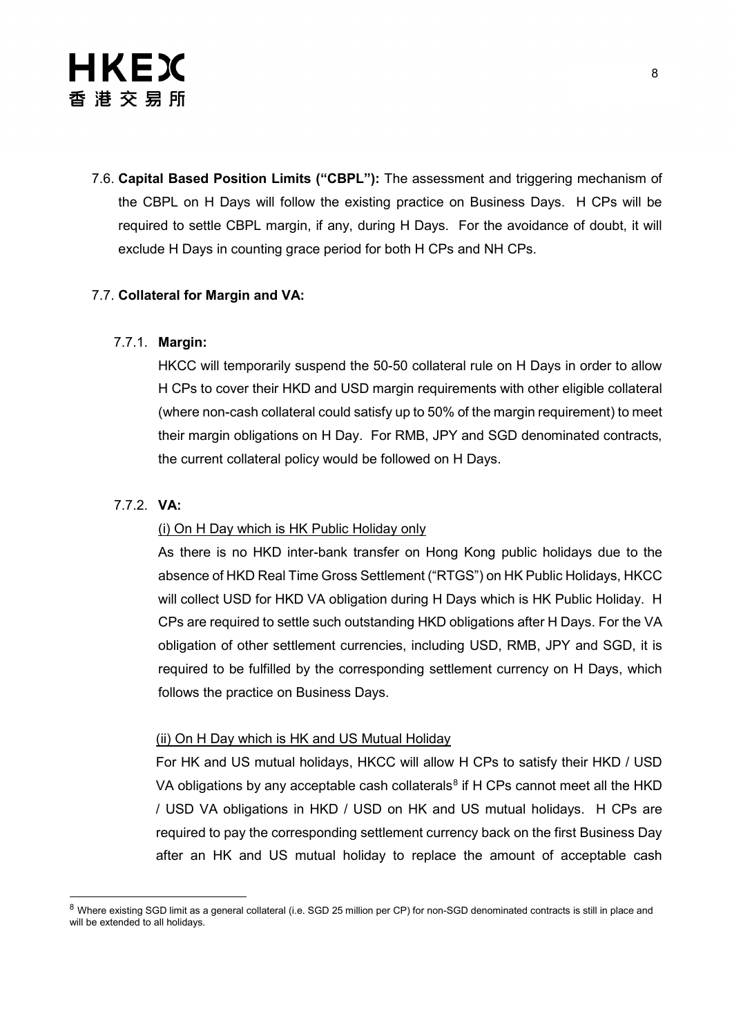7.6. **Capital Based Position Limits ("CBPL"):** The assessment and triggering mechanism of the CBPL on H Days will follow the existing practice on Business Days. H CPs will be required to settle CBPL margin, if any, during H Days. For the avoidance of doubt, it will exclude H Days in counting grace period for both H CPs and NH CPs.

#### 7.7. **Collateral for Margin and VA:**

#### 7.7.1. **Margin:**

HKCC will temporarily suspend the 50-50 collateral rule on H Days in order to allow H CPs to cover their HKD and USD margin requirements with other eligible collateral (where non-cash collateral could satisfy up to 50% of the margin requirement) to meet their margin obligations on H Day. For RMB, JPY and SGD denominated contracts, the current collateral policy would be followed on H Days.

#### 7.7.2. **VA:**

#### (i) On H Day which is HK Public Holiday only

As there is no HKD inter-bank transfer on Hong Kong public holidays due to the absence of HKD Real Time Gross Settlement ("RTGS") on HK Public Holidays, HKCC will collect USD for HKD VA obligation during H Days which is HK Public Holiday. H CPs are required to settle such outstanding HKD obligations after H Days. For the VA obligation of other settlement currencies, including USD, RMB, JPY and SGD, it is required to be fulfilled by the corresponding settlement currency on H Days, which follows the practice on Business Days.

#### (ii) On H Day which is HK and US Mutual Holiday

For HK and US mutual holidays, HKCC will allow H CPs to satisfy their HKD / USD VA obligations by any acceptable cash collaterals<sup>[8](#page-7-0)</sup> if H CPs cannot meet all the HKD / USD VA obligations in HKD / USD on HK and US mutual holidays. H CPs are required to pay the corresponding settlement currency back on the first Business Day after an HK and US mutual holiday to replace the amount of acceptable cash

<span id="page-7-0"></span><sup>8</sup> Where existing SGD limit as a general collateral (i.e. SGD 25 million per CP) for non-SGD denominated contracts is still in place and will be extended to all holidays.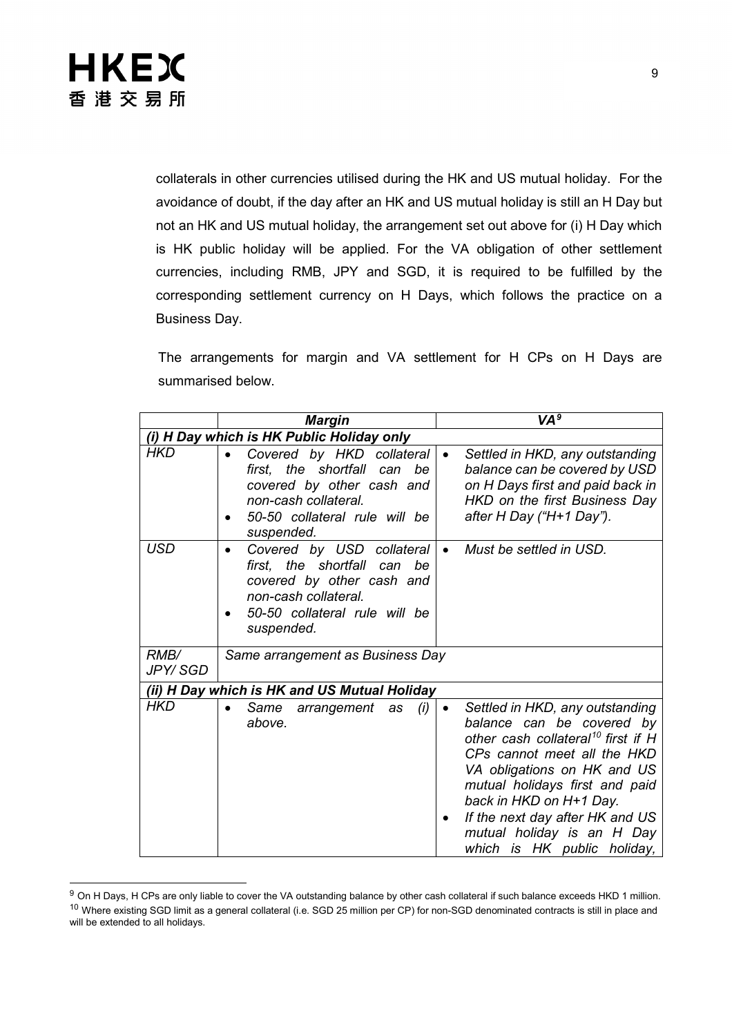

collaterals in other currencies utilised during the HK and US mutual holiday. For the avoidance of doubt, if the day after an HK and US mutual holiday is still an H Day but not an HK and US mutual holiday, the arrangement set out above for (i) H Day which is HK public holiday will be applied. For the VA obligation of other settlement currencies, including RMB, JPY and SGD, it is required to be fulfilled by the corresponding settlement currency on H Days, which follows the practice on a Business Day.

The arrangements for margin and VA settlement for H CPs on H Days are summarised below.

|                                           | <b>Margin</b>                                                                                                                                                   | VA <sup>9</sup>                                                                                                                                                                                                                                                                                                                                        |  |  |  |
|-------------------------------------------|-----------------------------------------------------------------------------------------------------------------------------------------------------------------|--------------------------------------------------------------------------------------------------------------------------------------------------------------------------------------------------------------------------------------------------------------------------------------------------------------------------------------------------------|--|--|--|
| (i) H Day which is HK Public Holiday only |                                                                                                                                                                 |                                                                                                                                                                                                                                                                                                                                                        |  |  |  |
| HKD                                       | Covered by HKD collateral<br>first, the shortfall can be<br>covered by other cash and<br>non-cash collateral.<br>50-50 collateral rule will be<br>suspended.    | Settled in HKD, any outstanding<br>$\bullet$<br>balance can be covered by USD<br>on H Days first and paid back in<br>HKD on the first Business Day<br>after H Day ("H+1 Day").                                                                                                                                                                         |  |  |  |
| <b>USD</b>                                | Covered by USD collateral<br>first, the shortfall can<br>be<br>covered by other cash and<br>non-cash collateral.<br>50-50 collateral rule will be<br>suspended. | Must be settled in USD.                                                                                                                                                                                                                                                                                                                                |  |  |  |
| RMB/<br>JPY/ SGD                          | Same arrangement as Business Day                                                                                                                                |                                                                                                                                                                                                                                                                                                                                                        |  |  |  |
|                                           | (ii) H Day which is HK and US Mutual Holiday                                                                                                                    |                                                                                                                                                                                                                                                                                                                                                        |  |  |  |
| <b>HKD</b>                                | arrangement as<br>Same<br>(i)<br>above.                                                                                                                         | Settled in HKD, any outstanding<br>$\bullet$<br>balance can be covered by<br>other cash collateral <sup>10</sup> first if H<br>CPs cannot meet all the HKD<br>VA obligations on HK and US<br>mutual holidays first and paid<br>back in HKD on H+1 Day.<br>If the next day after HK and US<br>mutual holiday is an H Day<br>which is HK public holiday, |  |  |  |

<span id="page-8-1"></span><span id="page-8-0"></span><sup>&</sup>lt;sup>9</sup> On H Days, H CPs are only liable to cover the VA outstanding balance by other cash collateral if such balance exceeds HKD 1 million. <sup>10</sup> Where existing SGD limit as a general collateral (i.e. SGD 25 million per CP) for non-SGD denominated contracts is still in place and will be extended to all holidays.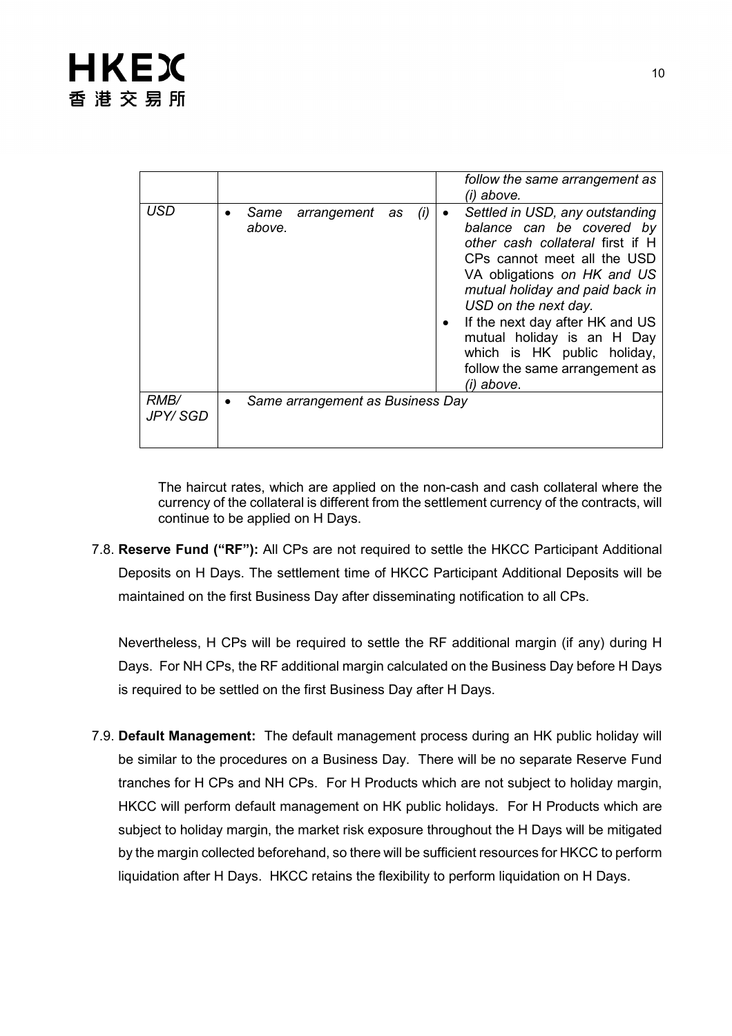|                          | follow the same arrangement as<br>(i) above.                                                                                                                                                                                                                                                                                                                                                                                         |
|--------------------------|--------------------------------------------------------------------------------------------------------------------------------------------------------------------------------------------------------------------------------------------------------------------------------------------------------------------------------------------------------------------------------------------------------------------------------------|
| USD                      | Settled in USD, any outstanding<br>arrangement<br>Same<br>(i)<br>as<br>$\bullet$<br>balance can be covered by<br>above.<br>other cash collateral first if H<br>CPs cannot meet all the USD<br>VA obligations on HK and US<br>mutual holiday and paid back in<br>USD on the next day.<br>If the next day after HK and US<br>mutual holiday is an H Day<br>which is HK public holiday,<br>follow the same arrangement as<br>(i) above. |
| <i>RMB</i> /<br>JPY/ SGD | Same arrangement as Business Day<br>$\bullet$                                                                                                                                                                                                                                                                                                                                                                                        |

The haircut rates, which are applied on the non-cash and cash collateral where the currency of the collateral is different from the settlement currency of the contracts, will continue to be applied on H Days.

7.8. **Reserve Fund ("RF"):** All CPs are not required to settle the HKCC Participant Additional Deposits on H Days. The settlement time of HKCC Participant Additional Deposits will be maintained on the first Business Day after disseminating notification to all CPs.

Nevertheless, H CPs will be required to settle the RF additional margin (if any) during H Days. For NH CPs, the RF additional margin calculated on the Business Day before H Days is required to be settled on the first Business Day after H Days.

7.9. **Default Management:** The default management process during an HK public holiday will be similar to the procedures on a Business Day. There will be no separate Reserve Fund tranches for H CPs and NH CPs. For H Products which are not subject to holiday margin, HKCC will perform default management on HK public holidays. For H Products which are subject to holiday margin, the market risk exposure throughout the H Days will be mitigated by the margin collected beforehand, so there will be sufficient resources for HKCC to perform liquidation after H Days. HKCC retains the flexibility to perform liquidation on H Days.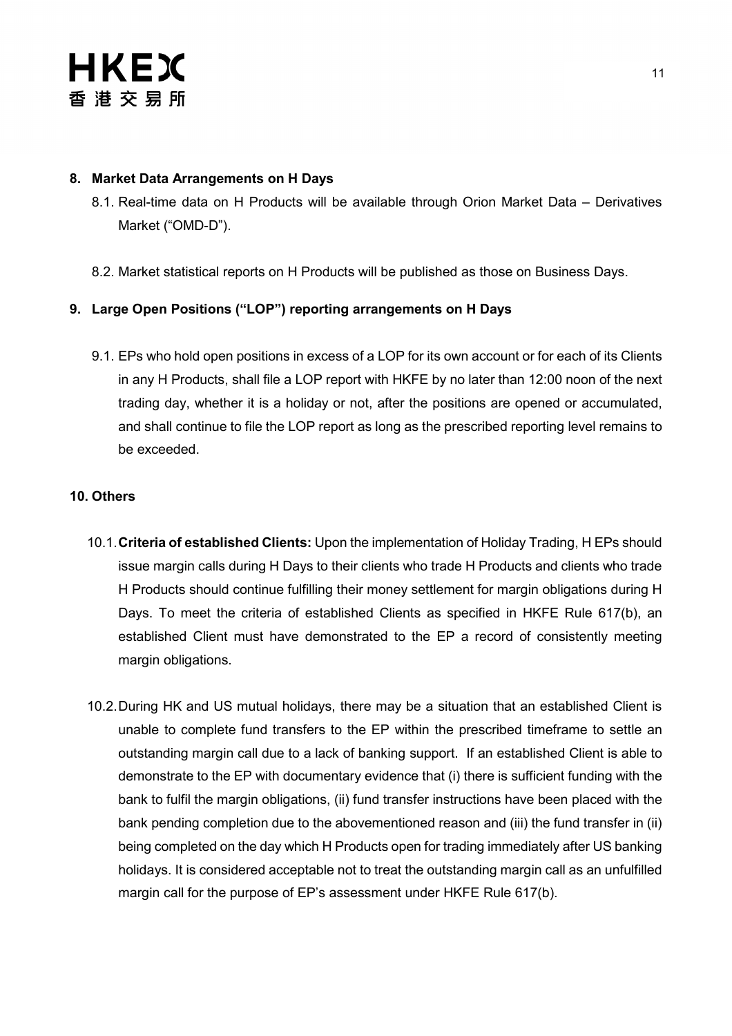#### **8. Market Data Arrangements on H Days**

- 8.1. Real-time data on H Products will be available through Orion Market Data Derivatives Market ("OMD-D").
- 8.2. Market statistical reports on H Products will be published as those on Business Days.

#### **9. Large Open Positions ("LOP") reporting arrangements on H Days**

9.1. EPs who hold open positions in excess of a LOP for its own account or for each of its Clients in any H Products, shall file a LOP report with HKFE by no later than 12:00 noon of the next trading day, whether it is a holiday or not, after the positions are opened or accumulated, and shall continue to file the LOP report as long as the prescribed reporting level remains to be exceeded.

#### **10. Others**

- 10.1.**Criteria of established Clients:** Upon the implementation of Holiday Trading, H EPs should issue margin calls during H Days to their clients who trade H Products and clients who trade H Products should continue fulfilling their money settlement for margin obligations during H Days. To meet the criteria of established Clients as specified in HKFE Rule 617(b), an established Client must have demonstrated to the EP a record of consistently meeting margin obligations.
- 10.2.During HK and US mutual holidays, there may be a situation that an established Client is unable to complete fund transfers to the EP within the prescribed timeframe to settle an outstanding margin call due to a lack of banking support. If an established Client is able to demonstrate to the EP with documentary evidence that (i) there is sufficient funding with the bank to fulfil the margin obligations, (ii) fund transfer instructions have been placed with the bank pending completion due to the abovementioned reason and (iii) the fund transfer in (ii) being completed on the day which H Products open for trading immediately after US banking holidays. It is considered acceptable not to treat the outstanding margin call as an unfulfilled margin call for the purpose of EP's assessment under HKFE Rule 617(b).